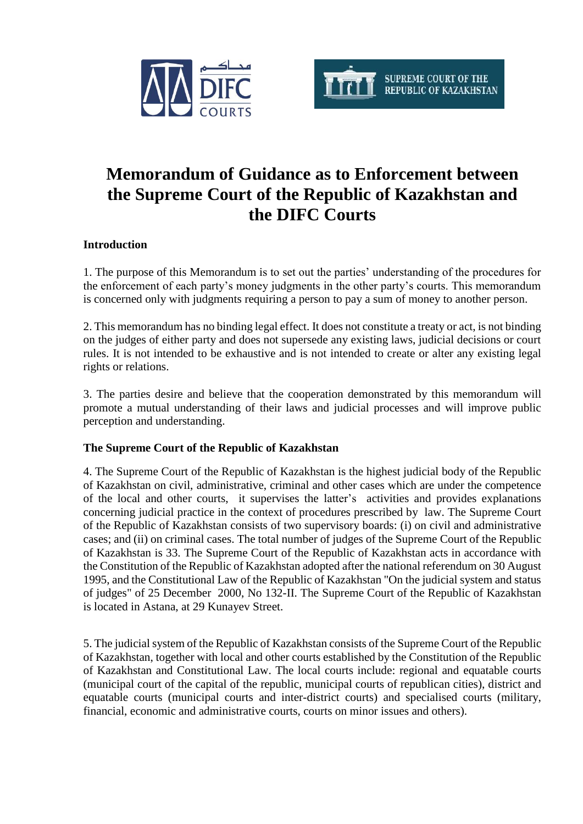



# **Memorandum of Guidance as to Enforcement between the Supreme Court of the Republic of Kazakhstan and the DIFC Courts**

## **Introduction**

1. The purpose of this Memorandum is to set out the parties' understanding of the procedures for the enforcement of each party's money judgments in the other party's courts. This memorandum is concerned only with judgments requiring a person to pay a sum of money to another person.

2. This memorandum has no binding legal effect. It does not constitute a treaty or act, is not binding on the judges of either party and does not supersede any existing laws, judicial decisions or court rules. It is not intended to be exhaustive and is not intended to create or alter any existing legal rights or relations.

3. The parties desire and believe that the cooperation demonstrated by this memorandum will promote a mutual understanding of their laws and judicial processes and will improve public perception and understanding.

#### **The Supreme Court of the Republic of Kazakhstan**

4. The Supreme Court of the Republic of Kazakhstan is the highest judicial body of the Republic of Kazakhstan on civil, administrative, criminal and other cases which are under the competence of the local and other courts, it supervises the latter's activities and provides explanations concerning judicial practice in the context of procedures prescribed by law. The Supreme Court of the Republic of Kazakhstan consists of two supervisory boards: (i) on civil and administrative cases; and (ii) on criminal cases. The total number of judges of the Supreme Court of the Republic of Kazakhstan is 33. The Supreme Court of the Republic of Kazakhstan acts in accordance with the Constitution of the Republic of Kazakhstan adopted after the national referendum on 30 August 1995, and the Constitutional Law of the Republic of Kazakhstan "On the judicial system and status of judges" of 25 December 2000, No 132-II. The Supreme Court of the Republic of Kazakhstan is located in Astana, at 29 Kunayev Street.

5. The judicial system of the Republic of Kazakhstan consists of the Supreme Court of the Republic of Kazakhstan, together with local and other courts established by the Constitution of the Republic of Kazakhstan and Constitutional Law. The local courts include: regional and equatable courts (municipal court of the capital of the republic, municipal courts of republican cities), district and equatable courts (municipal courts and inter-district courts) and specialised courts (military, financial, economic and administrative courts, courts on minor issues and others).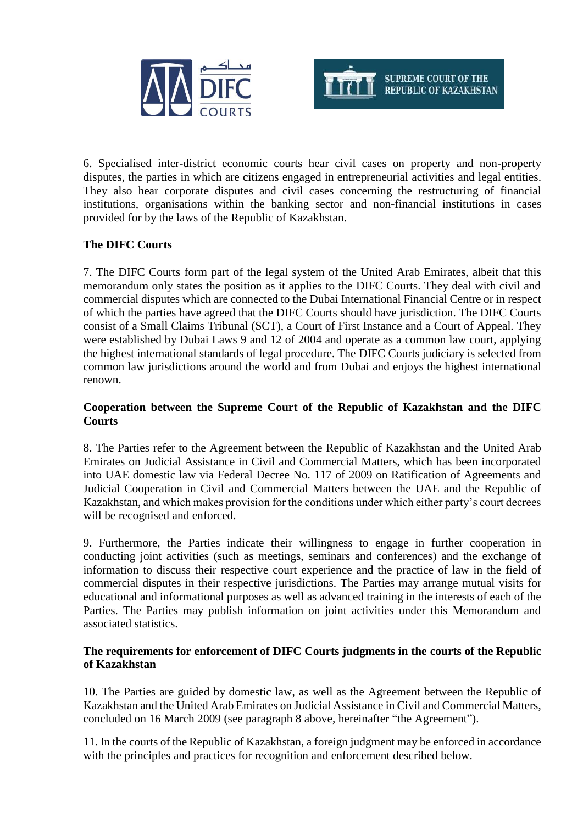



6. Specialised inter-district economic courts hear civil cases on property and non-property disputes, the parties in which are citizens engaged in entrepreneurial activities and legal entities. They also hear corporate disputes and civil cases concerning the restructuring of financial institutions, organisations within the banking sector and non-financial institutions in cases provided for by the laws of the Republic of Kazakhstan.

## **The DIFC Courts**

7. The [DIFC Courts](http://difccourts.ae/glossary/difc-court/) form part of the legal system of the United Arab Emirates, albeit that this memorandum only states the position as it applies to the DIFC Courts. They deal with civil and commercial disputes which are connected to the Dubai International Financial Centre or in respect of which the parties have agreed that the DIFC Courts should have jurisdiction. The DIFC Courts consist of a Small Claims [Tribunal](http://difccourts.ae/glossary/tribunal/) (SCT), a Court of First Instance and a Court of Appeal. They were established by Dubai Laws 9 and 12 of 2004 and operate as a common law court, applying the highest international standards of legal procedure. The DIFC Courts judiciary is selected from common law jurisdictions around the world and from Dubai and enjoys the highest international renown.

## **Cooperation between the Supreme Court of the Republic of Kazakhstan and the DIFC Courts**

8. The Parties refer to the Agreement between the Republic of Kazakhstan and the United Arab Emirates on Judicial Assistance in Civil and Commercial Matters, which has been incorporated into UAE domestic law via Federal Decree No. 117 of 2009 on Ratification of Agreements and Judicial Cooperation in Civil and Commercial Matters between the UAE and the Republic of Kazakhstan, and which makes provision for the conditions under which either party's court decrees will be recognised and enforced.

9. Furthermore, the Parties indicate their willingness to engage in further cooperation in conducting joint activities (such as meetings, seminars and conferences) and the exchange of information to discuss their respective court experience and the practice of law in the field of commercial disputes in their respective jurisdictions. The Parties may arrange mutual visits for educational and informational purposes as well as advanced training in the interests of each of the Parties. The Parties may publish information on joint activities under this Memorandum and associated statistics.

#### **The requirements for enforcement of DIFC Courts judgments in the courts of the Republic of Kazakhstan**

10. The Parties are guided by domestic law, as well as the Agreement between the Republic of Kazakhstan and the United Arab Emirates on Judicial Assistance in Civil and Commercial Matters, concluded on 16 March 2009 (see paragraph 8 above, hereinafter "the Agreement").

11. In the courts of the Republic of Kazakhstan, a foreign judgment may be enforced in accordance with the principles and practices for recognition and enforcement described below.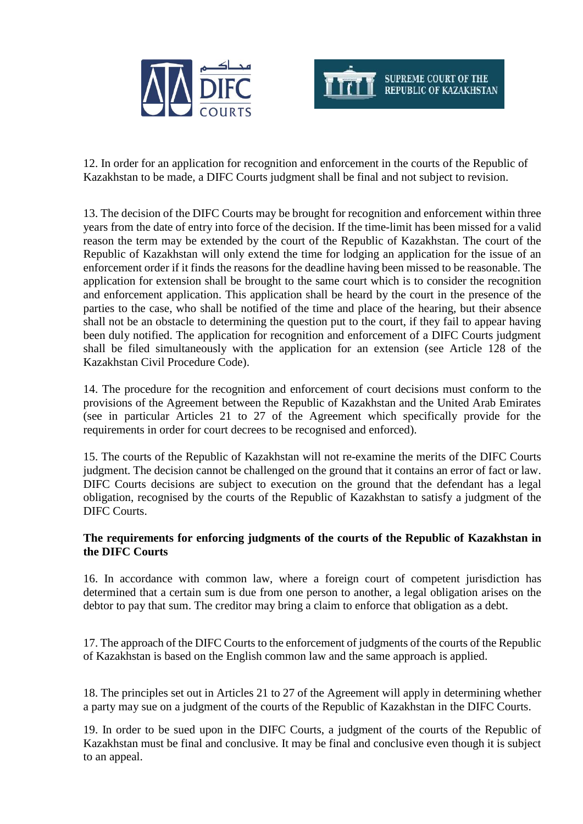



12. In order for an application for recognition and enforcement in the courts of the Republic of Kazakhstan to be made, a DIFC Courts judgment shall be final and not subject to revision.

13. The decision of the DIFC Courts may be brought for recognition and enforcement within three years from the date of entry into force of the decision. If the time-limit has been missed for a valid reason the term may be extended by the court of the Republic of Kazakhstan. The court of the Republic of Kazakhstan will only extend the time for lodging an application for the issue of an enforcement order if it finds the reasons for the deadline having been missed to be reasonable. The application for extension shall be brought to the same court which is to consider the recognition and enforcement application. This application shall be heard by the court in the presence of the parties to the case, who shall be notified of the time and place of the hearing, but their absence shall not be an obstacle to determining the question put to the court, if they fail to appear having been duly notified. The application for recognition and enforcement of a DIFC Courts judgment shall be filed simultaneously with the application for an extension (see Article 128 of the Kazakhstan Civil Procedure Code).

14. The procedure for the recognition and enforcement of court decisions must conform to the provisions of the Agreement between the Republic of Kazakhstan and the United Arab Emirates (see in particular Articles 21 to 27 of the Agreement which specifically provide for the requirements in order for court decrees to be recognised and enforced).

15. The courts of the Republic of Kazakhstan will not re-examine the merits of the DIFC Courts judgment. The decision cannot be challenged on the ground that it contains an error of fact or law. DIFC Courts decisions are subject to execution on the ground that the defendant has a legal obligation, recognised by the courts of the Republic of Kazakhstan to satisfy a judgment of the DIFC Courts.

#### **The requirements for enforcing judgments of the courts of the Republic of Kazakhstan in the DIFC Courts**

16. In accordance with common law, where a foreign court of competent jurisdiction has determined that a certain sum is due from one person to another, a legal obligation arises on the debtor to pay that sum. The creditor may bring a claim to enforce that obligation as a debt.

17. The approach of the DIFC Courts to the enforcement of judgments of the courts of the Republic of Kazakhstan is based on the English common law and the same approach is applied.

18. The principles set out in Articles 21 to 27 of the Agreement will apply in determining whether a party may sue on a judgment of the courts of the Republic of Kazakhstan in the DIFC Courts.

19. In order to be sued upon in the DIFC Courts, a judgment of the courts of the Republic of Kazakhstan must be final and conclusive. It may be final and conclusive even though it is subject to an appeal.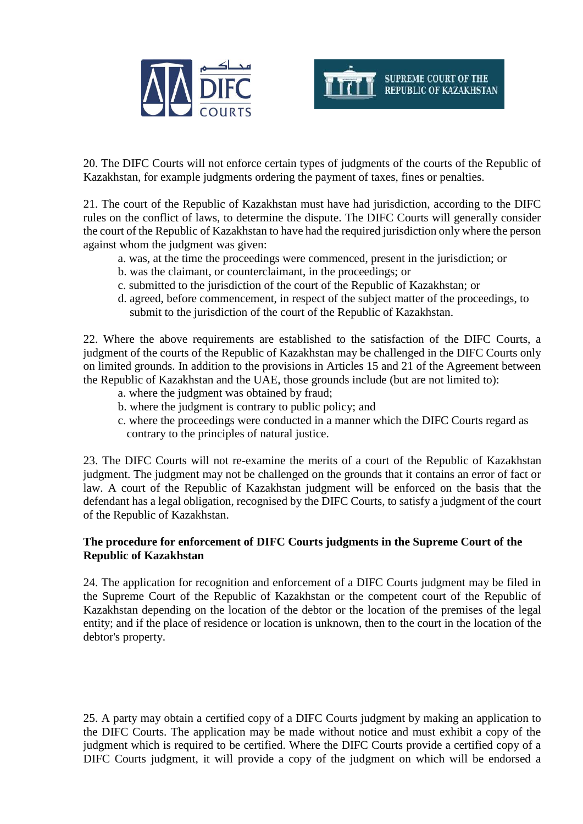



20. The DIFC Courts will not enforce certain types of judgments of the courts of the Republic of Kazakhstan, for example judgments ordering the payment of taxes, fines or penalties.

21. The court of the Republic of Kazakhstan must have had jurisdiction, according to the DIFC rules on the conflict of laws, to determine the dispute. The DIFC Courts will generally consider the court of the Republic of Kazakhstan to have had the required jurisdiction only where the person against whom the judgment was given:

- a. was, at the time the proceedings were commenced, present in the jurisdiction; or
- b. was the claimant, or counterclaimant, in the proceedings; or
- c. submitted to the jurisdiction of the court of the Republic of Kazakhstan; or
- d. agreed, before commencement, in respect of the subject matter of the proceedings, to submit to the jurisdiction of the court of the Republic of Kazakhstan.

22. Where the above requirements are established to the satisfaction of the DIFC Courts, a judgment of the courts of the Republic of Kazakhstan may be challenged in the DIFC Courts only on limited grounds. In addition to the provisions in Articles 15 and 21 of the Agreement between the Republic of Kazakhstan and the UAE, those grounds include (but are not limited to):

- a. where the judgment was obtained by fraud;
- b. where the judgment is contrary to public policy; and
- c. where the proceedings were conducted in a manner which the DIFC Courts regard as contrary to the principles of natural justice.

23. The DIFC Courts will not re-examine the merits of a court of the Republic of Kazakhstan judgment. The judgment may not be challenged on the grounds that it contains an error of fact or law. A court of the Republic of Kazakhstan judgment will be enforced on the basis that the defendant has a legal obligation, recognised by the DIFC Courts, to satisfy a judgment of the court of the Republic of Kazakhstan.

#### **The procedure for enforcement of DIFC Courts judgments in the Supreme Court of the Republic of Kazakhstan**

24. The application for recognition and enforcement of a DIFC Courts judgment may be filed in the Supreme Court of the Republic of Kazakhstan or the competent court of the Republic of Kazakhstan depending on the location of the debtor or the location of the premises of the legal entity; and if the place of residence or location is unknown, then to the court in the location of the debtor's property.

25. A party may obtain a certified copy of a DIFC Courts judgment by making an application to the DIFC Courts. The application may be made without notice and must exhibit a copy of the judgment which is required to be certified. Where the DIFC Courts provide a certified copy of a DIFC Courts judgment, it will provide a copy of the judgment on which will be endorsed a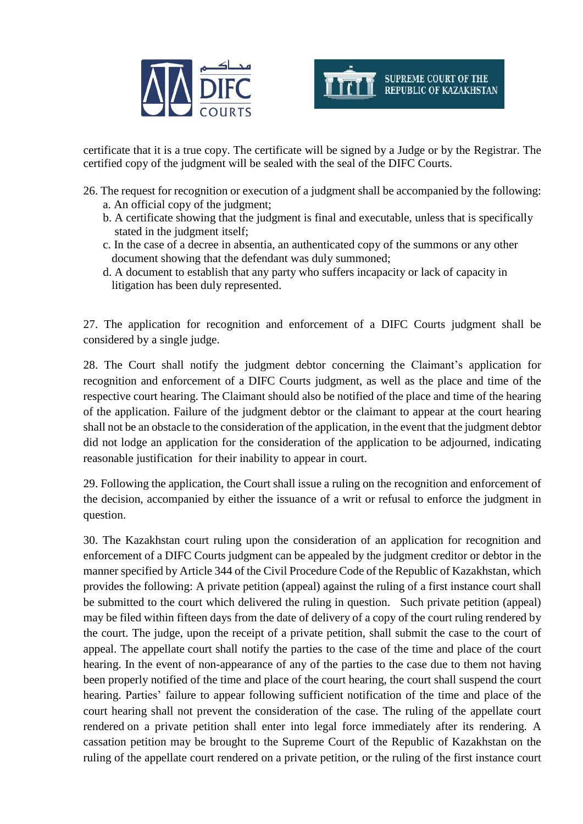



certificate that it is a true copy. The certificate will be signed by a Judge or by the [Registrar.](http://difccourts.ae/glossary/registrar/) The certified copy of the judgment will be sealed with the seal of the DIFC Courts.

- 26. The request for recognition or execution of a judgment shall be accompanied by the following: a. An official copy of the judgment;
	- b. A certificate showing that the judgment is final and executable, unless that is specifically stated in the judgment itself;
	- c. In the case of a decree in absentia, an authenticated copy of the summons or any other document showing that the defendant was duly summoned;
	- d. A document to establish that any party who suffers incapacity or lack of capacity in litigation has been duly represented.

27. The application for recognition and enforcement of a DIFC Courts judgment shall be considered by a single judge.

28. The Court shall notify the judgment debtor concerning the Claimant's application for recognition and enforcement of a DIFC Courts judgment, as well as the place and time of the respective court hearing. The Claimant should also be notified of the place and time of the hearing of the application. Failure of the judgment debtor or the claimant to appear at the court hearing shall not be an obstacle to the consideration of the application, in the event that the judgment debtor did not lodge an application for the consideration of the application to be adjourned, indicating reasonable justification for their inability to appear in court.

29. Following the application, the Court shall issue a ruling on the recognition and enforcement of the decision, accompanied by either the issuance of a writ or refusal to enforce the judgment in question.

30. The Kazakhstan court ruling upon the consideration of an application for recognition and enforcement of a DIFC Courts judgment can be appealed by the judgment creditor or debtor in the manner specified by Article 344 of the Civil Procedure Code of the Republic of Kazakhstan, which provides the following: A private petition (appeal) against the ruling of a first instance court shall be submitted to the court which delivered the ruling in question. Such private petition (appeal) may be filed within fifteen days from the date of delivery of a copy of the court ruling rendered by the court. The judge, upon the receipt of a private petition, shall submit the case to the court of appeal. The appellate court shall notify the parties to the case of the time and place of the court hearing. In the event of non-appearance of any of the parties to the case due to them not having been properly notified of the time and place of the court hearing, the court shall suspend the court hearing. Parties' failure to appear following sufficient notification of the time and place of the court hearing shall not prevent the consideration of the case. The ruling of the appellate court rendered on a private petition shall enter into legal force immediately after its rendering. A cassation petition may be brought to the Supreme Court of the Republic of Kazakhstan on the ruling of the appellate court rendered on a private petition, or the ruling of the first instance court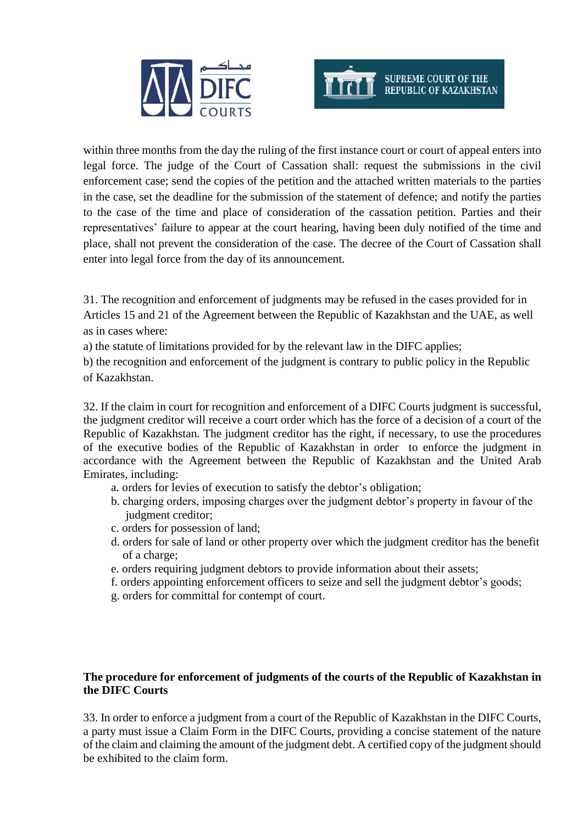



within three months from the day the ruling of the first instance court or court of appeal enters into legal force. The judge of the Court of Cassation shall: request the submissions in the civil enforcement case; send the copies of the petition and the attached written materials to the parties in the case, set the deadline for the submission of the statement of defence; and notify the parties to the case of the time and place of consideration of the cassation petition. Parties and their representatives' failure to appear at the court hearing, having been duly notified of the time and place, shall not prevent the consideration of the case. The decree of the Court of Cassation shall enter into legal force from the day of its announcement.

31. The recognition and enforcement of judgments may be refused in the cases provided for in Articles 15 and 21 of the Agreement between the Republic of Kazakhstan and the UAE, as well as in cases where:

a) the statute of limitations provided for by the relevant law in the DIFC applies;

b) the recognition and enforcement of the judgment is contrary to public policy in the Republic of Kazakhstan.

32. If the claim in court for recognition and enforcement of a DIFC Courts judgment is successful, the judgment creditor will receive a court order which has the force of a decision of a court of the Republic of Kazakhstan. The judgment creditor has the right, if necessary, to use the procedures of the executive bodies of the Republic of Kazakhstan in order to enforce the judgment in accordance with the Agreement between the Republic of Kazakhstan and the United Arab Emirates, including:

- a. orders for levies of execution to satisfy the debtor's obligation;
- b. charging orders, imposing charges over the judgment debtor's property in favour of the judgment creditor;
- c. orders for possession of land;
- d. orders for sale of land or other property over which the judgment creditor has the benefit of a charge;
- e. orders requiring judgment debtors to provide information about their assets;
- f. orders appointing enforcement officers to seize and sell the judgment debtor's goods;
- g. orders for committal for contempt of court.

## **The procedure for enforcement of judgments of the courts of the Republic of Kazakhstan in the DIFC Courts**

33. In order to enforce a judgment from a court of the Republic of Kazakhstan in the DIFC Courts, a party must issue a Claim Form in the DIFC Courts, providing a concise statement of the nature of the claim and claiming the amount of the judgment debt. A certified copy of the judgment should be exhibited to the claim form.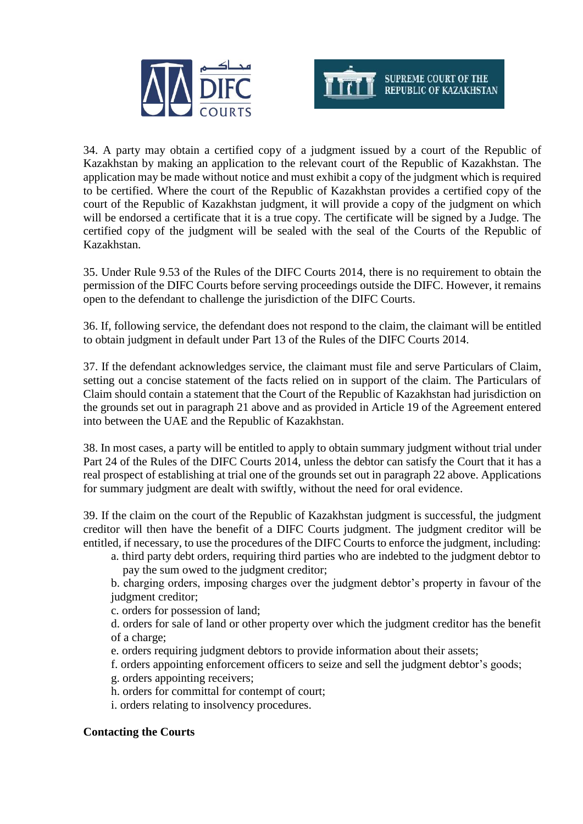



34. A party may obtain a certified copy of a judgment issued by a court of the Republic of Kazakhstan by making an application to the relevant court of the Republic of Kazakhstan. The application may be made without notice and must exhibit a copy of the judgment which is required to be certified. Where the court of the Republic of Kazakhstan provides a certified copy of the court of the Republic of Kazakhstan judgment, it will provide a copy of the judgment on which will be endorsed a certificate that it is a true copy. The certificate will be signed by a Judge. The certified copy of the judgment will be sealed with the seal of the Courts of the Republic of Kazakhstan.

35. Under Rule 9.53 of the Rules of the DIFC Courts 2014, there is no requirement to obtain the permission of the DIFC Courts before serving proceedings outside the DIFC. However, it remains open to the defendant to challenge the jurisdiction of the DIFC Courts.

36. If, following service, the defendant does not respond to the claim, the claimant will be entitled to obtain judgment in default under Part 13 of the Rules of the DIFC Courts 2014.

37. If the defendant acknowledges service, the claimant must file and serve Particulars of Claim, setting out a concise statement of the facts relied on in support of the claim. The Particulars of Claim should contain a statement that the Court of the Republic of Kazakhstan had jurisdiction on the grounds set out in paragraph 21 above and as provided in Article 19 of the Agreement entered into between the UAE and the Republic of Kazakhstan.

38. In most cases, a party will be entitled to apply to obtain summary judgment without trial under Part 24 of the Rules of the DIFC Courts 2014, unless the debtor can satisfy the Court that it has a real prospect of establishing at trial one of the grounds set out in paragraph 22 above. Applications for summary judgment are dealt with swiftly, without the need for oral evidence.

39. If the claim on the court of the Republic of Kazakhstan judgment is successful, the judgment creditor will then have the benefit of a DIFC Courts judgment. The judgment creditor will be entitled, if necessary, to use the procedures of the DIFC Courts to enforce the judgment, including:

a. third party debt orders, requiring third parties who are indebted to the judgment debtor to pay the sum owed to the judgment creditor;

b. charging orders, imposing charges over the judgment debtor's property in favour of the judgment creditor;

c. orders for possession of land;

d. orders for sale of land or other property over which the judgment creditor has the benefit of a charge;

- e. orders requiring judgment debtors to provide information about their assets;
- f. orders appointing enforcement officers to seize and sell the judgment debtor's goods;

g. orders appointing receivers;

- h. orders for committal for contempt of court;
- i. orders relating to insolvency procedures.

#### **Contacting the Courts**